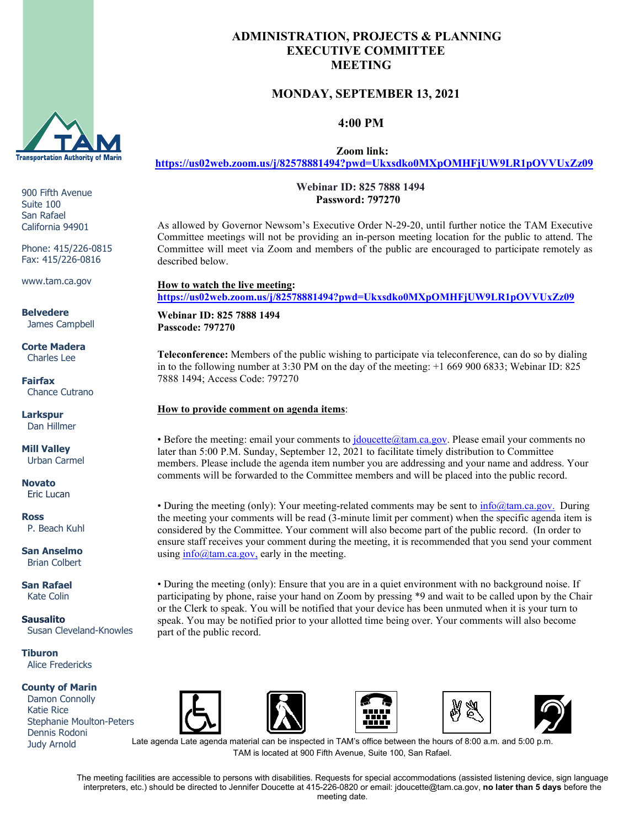

900 Fifth Avenue Suite 100 San Rafael California 94901

Phone: 415/226-0815 Fax: 415/226-0816

www.tam.ca.gov

**Belvedere** James Campbell

**Corte Madera** Charles Lee

**Fairfax** Chance Cutrano

**Larkspur** Dan Hillmer

**Mill Valley** Urban Carmel

**Novato** Eric Lucan

**Ross** P. Beach Kuhl

**San Anselmo** Brian Colbert

**San Rafael** Kate Colin

**Sausalito** Susan Cleveland-Knowles

**Tiburon** Alice Fredericks

#### **County of Marin**

 Damon Connolly Katie Rice Stephanie Moulton-Peters Dennis Rodoni Judy Arnold

## **ADMINISTRATION, PROJECTS & PLANNING EXECUTIVE COMMITTEE MEETING**

# **MONDAY, SEPTEMBER 13, 2021**

 **4:00 PM**

 **Zoom link:**

**<https://us02web.zoom.us/j/82578881494?pwd=Ukxsdko0MXpOMHFjUW9LR1pOVVUxZz09>**

 **Webinar ID: 825 7888 1494 Password: 797270**

As allowed by Governor Newsom's Executive Order N-29-20, until further notice the TAM Executive Committee meetings will not be providing an in-person meeting location for the public to attend. The Committee will meet via Zoom and members of the public are encouraged to participate remotely as described below.

**How to watch the live meeting: <https://us02web.zoom.us/j/82578881494?pwd=Ukxsdko0MXpOMHFjUW9LR1pOVVUxZz09>**

**Webinar ID: 825 7888 1494 Passcode: 797270**

**Teleconference:** Members of the public wishing to participate via teleconference, can do so by dialing in to the following number at 3:30 PM on the day of the meeting: +1 669 900 6833; Webinar ID: 825 7888 1494; Access Code: 797270

### **How to provide comment on agenda items**:

• Before the meeting: email your comments to *jdoucette@tam.ca.gov*. Please email your comments no later than 5:00 P.M. Sunday, September 12, 2021 to facilitate timely distribution to Committee members. Please include the agenda item number you are addressing and your name and address. Your comments will be forwarded to the Committee members and will be placed into the public record.

• During the meeting (only): Your meeting-related comments may be sent to  $\frac{info@tam.ca.gov}{info@tam.ca.gov}$ . During the meeting your comments will be read (3-minute limit per comment) when the specific agenda item is considered by the Committee. Your comment will also become part of the public record. (In order to ensure staff receives your comment during the meeting, it is recommended that you send your comment using [info@tam.ca.gov,](mailto:info@tam.ca.gov) early in the meeting.

• During the meeting (only): Ensure that you are in a quiet environment with no background noise. If participating by phone, raise your hand on Zoom by pressing \*9 and wait to be called upon by the Chair or the Clerk to speak. You will be notified that your device has been unmuted when it is your turn to speak. You may be notified prior to your allotted time being over. Your comments will also become part of the public record.











Late agenda Late agenda material can be inspected in TAM's office between the hours of 8:00 a.m. and 5:00 p.m. TAM is located at 900 Fifth Avenue, Suite 100, San Rafael.

The meeting facilities are accessible to persons with disabilities. Requests for special accommodations (assisted listening device, sign language interpreters, etc.) should be directed to Jennifer Doucette at 415-226-0820 or email: jdoucette@tam.ca.gov, **no later than 5 days** before the meeting date.